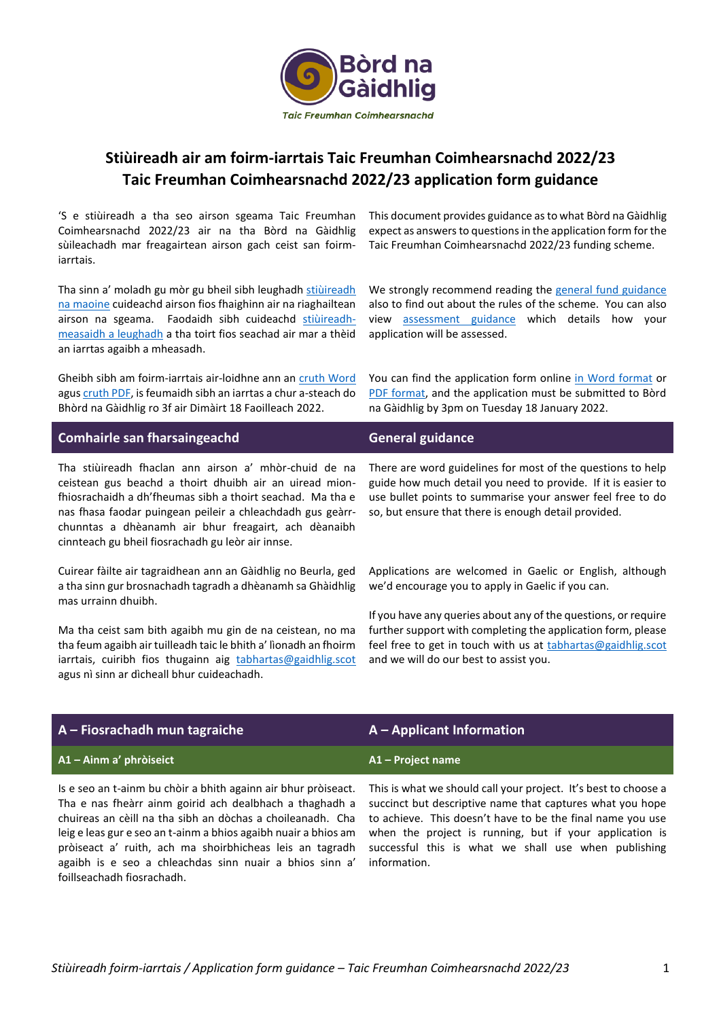

# **Stiùireadh air am foirm-iarrtais Taic Freumhan Coimhearsnachd 2022/23 Taic Freumhan Coimhearsnachd 2022/23 application form guidance**

'S e stiùireadh a tha seo airson sgeama Taic Freumhan Coimhearsnachd 2022/23 air na tha Bòrd na Gàidhlig sùileachadh mar freagairtean airson gach ceist san foirmiarrtais.

Tha sinn a' moladh gu mòr gu bheil sibh leughadh stiùireadh [na maoine](https://www.gaidhlig.scot/wp-content/uploads/2021/11/stiuireadh-tfc-2022-23.pdf) cuideachd airson fios fhaighinn air na riaghailtean airson na sgeama. Faodaidh sibh cuideachd [stiùireadh](https://www.gaidhlig.scot/wp-content/uploads/2021/11/stiuireadh-measaidh-tfc-2022-23.pdf)[measaidh a leughadh](https://www.gaidhlig.scot/wp-content/uploads/2021/11/stiuireadh-measaidh-tfc-2022-23.pdf) a tha toirt fios seachad air mar a thèid an iarrtas agaibh a mheasadh.

Gheibh sibh am foirm-iarrtais air-loidhne ann an [cruth Word](https://www.gaidhlig.scot/wp-content/uploads/2021/11/foirm-iarrtais-tfc-2022-23.docx) agu[s cruth PDF,](https://www.gaidhlig.scot/wp-content/uploads/2021/11/foirm-iarrtais-tfc-2022-23.pdf) is feumaidh sibh an iarrtas a chur a-steach do Bhòrd na Gàidhlig ro 3f air Dimàirt 18 Faoilleach 2022.

This document provides guidance as to what Bòrd na Gàidhlig expect as answers to questions in the application form for the Taic Freumhan Coimhearsnachd 2022/23 funding scheme.

We strongly recommend reading the [general fund guidance](https://www.gaidhlig.scot/wp-content/uploads/2021/11/stiuireadh-tfc-2022-23.pdf) also to find out about the rules of the scheme. You can also view [assessment guidance](https://www.gaidhlig.scot/wp-content/uploads/2021/11/stiuireadh-measaidh-tfc-2022-23.pdf) which details how your application will be assessed.

You can find the application form online [in Word](https://www.gaidhlig.scot/wp-content/uploads/2021/11/foirm-iarrtais-tfc-2022-23.docx) format or [PDF format,](https://www.gaidhlig.scot/wp-content/uploads/2021/11/foirm-iarrtais-tfc-2022-23.pdf) and the application must be submitted to Bòrd na Gàidhlig by 3pm on Tuesday 18 January 2022.

| <b>Comhairle san fharsaingeachd</b>                                                                                                                                                                                                                                                                                                                                 | <b>General guidance</b> |
|---------------------------------------------------------------------------------------------------------------------------------------------------------------------------------------------------------------------------------------------------------------------------------------------------------------------------------------------------------------------|-------------------------|
| Tha stiùireadh fhaclan ann airson a' mhòr-chuid de na There are word guidelines for most of the questions to help<br>ceistean gus beachd a thoirt dhuibh air an uiread mion- guide how much detail you need to provide. If it is easier to<br>fhiosrachaidh a dh'fheumas sibh a thoirt seachad. Ma tha e use bullet points to summarise your answer feel free to do |                         |

Cuirear fàilte air tagraidhean ann an Gàidhlig no Beurla, ged a tha sinn gur brosnachadh tagradh a dhèanamh sa Ghàidhlig mas urrainn dhuibh.

nas fhasa faodar puingean peileir a chleachdadh gus geàrrchunntas a dhèanamh air bhur freagairt, ach dèanaibh

cinnteach gu bheil fiosrachadh gu leòr air innse.

Ma tha ceist sam bith agaibh mu gin de na ceistean, no ma tha feum agaibh air tuilleadh taic le bhith a' lìonadh an fhoirm iarrtais, cuiribh fios thugainn aig [tabhartas@gaidhlig.scot](mailto:tabhartas@gaidhlig.scot) agus nì sinn ar dìcheall bhur cuideachadh.

so, but ensure that there is enough detail provided.

Applications are welcomed in Gaelic or English, although we'd encourage you to apply in Gaelic if you can.

If you have any queries about any of the questions, or require further support with completing the application form, please feel free to get in touch with us at [tabhartas@gaidhlig.scot](mailto:tabhartas@gaidhlig.scot) and we will do our best to assist you.

| $A$ – Fiosrachadh mun tagraiche                                | $A -$ Applicant Information                                     |
|----------------------------------------------------------------|-----------------------------------------------------------------|
| A1 – Ainm a' phròiseict                                        | A1 - Project name                                               |
| Is e seo an t-ainm bu chòir a bhith againn air bhur pròiseact. | This is what we should call your project. It's best to choose a |

Tha e nas fheàrr ainm goirid ach dealbhach a thaghadh a chuireas an cèill na tha sibh an dòchas a choileanadh. Cha leig e leas gur e seo an t-ainm a bhios agaibh nuair a bhios am pròiseact a' ruith, ach ma shoirbhicheas leis an tagradh agaibh is e seo a chleachdas sinn nuair a bhios sinn a' foillseachadh fiosrachadh.

succinct but descriptive name that captures what you hope to achieve. This doesn't have to be the final name you use when the project is running, but if your application is successful this is what we shall use when publishing information.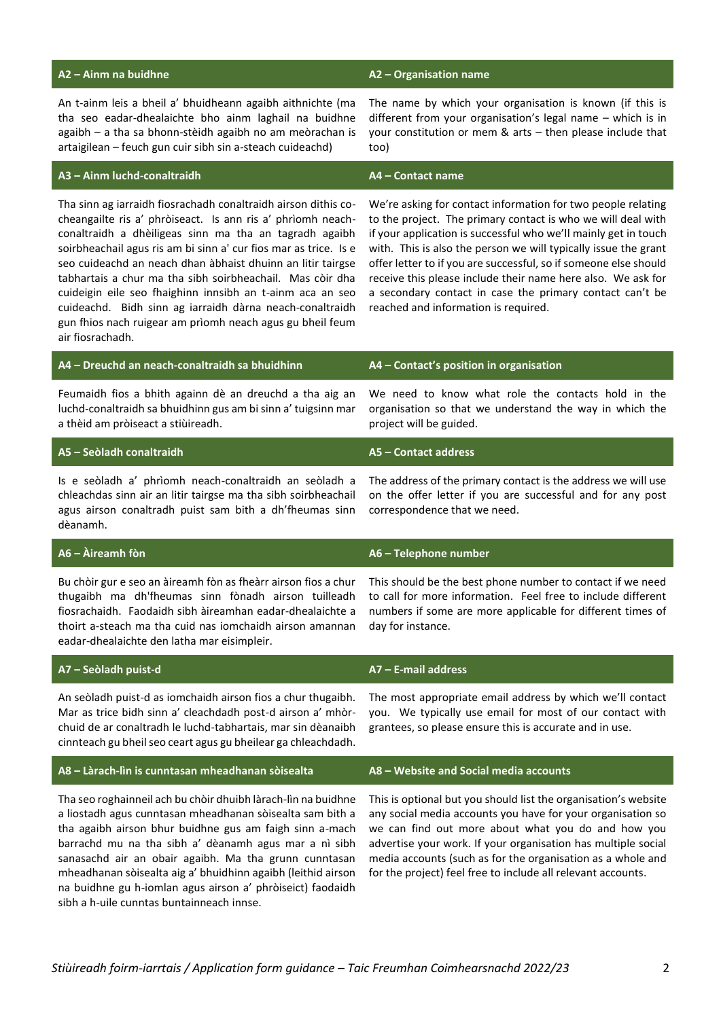An t-ainm leis a bheil a' bhuidheann agaibh aithnichte (ma tha seo eadar-dhealaichte bho ainm laghail na buidhne agaibh – a tha sa bhonn-stèidh agaibh no am meòrachan is artaigilean – feuch gun cuir sibh sin a-steach cuideachd)

## **A2 – Ainm na buidhne A2 – Organisation name**

The name by which your organisation is known (if this is different from your organisation's legal name – which is in your constitution or mem & arts – then please include that too)

### **A3 – Ainm luchd-conaltraidh A4 – Contact name**

sibh a h-uile cunntas buntainneach innse.

Tha sinn ag iarraidh fiosrachadh conaltraidh airson dithis cocheangailte ris a' phròiseact. Is ann ris a' phrìomh neachconaltraidh a dhèiligeas sinn ma tha an tagradh agaibh soirbheachail agus ris am bi sinn a' cur fios mar as trice. Is e seo cuideachd an neach dhan àbhaist dhuinn an litir tairgse tabhartais a chur ma tha sibh soirbheachail. Mas còir dha cuideigin eile seo fhaighinn innsibh an t-ainm aca an seo cuideachd. Bidh sinn ag iarraidh dàrna neach-conaltraidh gun fhios nach ruigear am prìomh neach agus gu bheil feum air fiosrachadh.

We're asking for contact information for two people relating to the project. The primary contact is who we will deal with if your application is successful who we'll mainly get in touch with. This is also the person we will typically issue the grant offer letter to if you are successful, so if someone else should receive this please include their name here also. We ask for a secondary contact in case the primary contact can't be reached and information is required.

| A4 - Dreuchd an neach-conaltraidh sa bhuidhinn                                                                                                                                                                                                                                                                                                                                                                                        | A4 - Contact's position in organisation                                                                                                                                                                                                                                                                                                                                              |
|---------------------------------------------------------------------------------------------------------------------------------------------------------------------------------------------------------------------------------------------------------------------------------------------------------------------------------------------------------------------------------------------------------------------------------------|--------------------------------------------------------------------------------------------------------------------------------------------------------------------------------------------------------------------------------------------------------------------------------------------------------------------------------------------------------------------------------------|
| Feumaidh fios a bhith againn dè an dreuchd a tha aig an<br>luchd-conaltraidh sa bhuidhinn gus am bi sinn a' tuigsinn mar<br>a thèid am pròiseact a stiùireadh.                                                                                                                                                                                                                                                                        | We need to know what role the contacts hold in the<br>organisation so that we understand the way in which the<br>project will be guided.                                                                                                                                                                                                                                             |
| A5 - Seòladh conaltraidh                                                                                                                                                                                                                                                                                                                                                                                                              | A5 - Contact address                                                                                                                                                                                                                                                                                                                                                                 |
| Is e seòladh a' phrìomh neach-conaltraidh an seòladh a<br>chleachdas sinn air an litir tairgse ma tha sibh soirbheachail<br>agus airson conaltradh puist sam bith a dh'fheumas sinn<br>dèanamh.                                                                                                                                                                                                                                       | The address of the primary contact is the address we will use<br>on the offer letter if you are successful and for any post<br>correspondence that we need.                                                                                                                                                                                                                          |
| A6 - Àireamh fòn                                                                                                                                                                                                                                                                                                                                                                                                                      | A6 - Telephone number                                                                                                                                                                                                                                                                                                                                                                |
| Bu chòir gur e seo an àireamh fòn as fheàrr airson fios a chur<br>thugaibh ma dh'fheumas sinn fònadh airson tuilleadh<br>fiosrachaidh. Faodaidh sibh àireamhan eadar-dhealaichte a<br>thoirt a-steach ma tha cuid nas iomchaidh airson amannan<br>eadar-dhealaichte den latha mar eisimpleir.                                                                                                                                         | This should be the best phone number to contact if we need<br>to call for more information. Feel free to include different<br>numbers if some are more applicable for different times of<br>day for instance.                                                                                                                                                                        |
| A7 - Seòladh puist-d                                                                                                                                                                                                                                                                                                                                                                                                                  | $A7 - E$ -mail address                                                                                                                                                                                                                                                                                                                                                               |
| An seòladh puist-d as iomchaidh airson fios a chur thugaibh.<br>Mar as trice bidh sinn a' cleachdadh post-d airson a' mhòr-<br>chuid de ar conaltradh le luchd-tabhartais, mar sin dèanaibh<br>cinnteach gu bheil seo ceart agus gu bheilear ga chleachdadh.                                                                                                                                                                          | The most appropriate email address by which we'll contact<br>you. We typically use email for most of our contact with<br>grantees, so please ensure this is accurate and in use.                                                                                                                                                                                                     |
| A8 - Làrach-lìn is cunntasan mheadhanan sòisealta                                                                                                                                                                                                                                                                                                                                                                                     | A8 - Website and Social media accounts                                                                                                                                                                                                                                                                                                                                               |
| Tha seo roghainneil ach bu chòir dhuibh làrach-lìn na buidhne<br>a liostadh agus cunntasan mheadhanan sòisealta sam bith a<br>tha agaibh airson bhur buidhne gus am faigh sinn a-mach<br>barrachd mu na tha sibh a' dèanamh agus mar a nì sibh<br>sanasachd air an obair agaibh. Ma tha grunn cunntasan<br>mheadhanan sòisealta aig a' bhuidhinn agaibh (leithid airson<br>na buidhne gu h-iomlan agus airson a' phròiseict) faodaidh | This is optional but you should list the organisation's website<br>any social media accounts you have for your organisation so<br>we can find out more about what you do and how you<br>advertise your work. If your organisation has multiple social<br>media accounts (such as for the organisation as a whole and<br>for the project) feel free to include all relevant accounts. |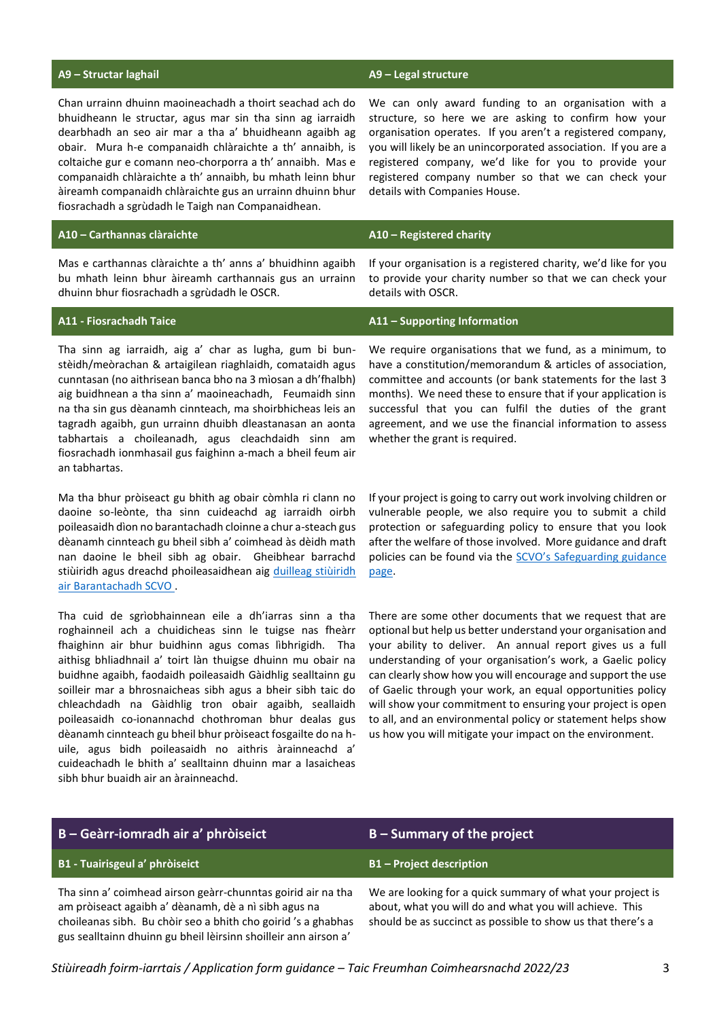### **A9 – Structar laghail A9 – Legal structure**

Chan urrainn dhuinn maoineachadh a thoirt seachad ach do bhuidheann le structar, agus mar sin tha sinn ag iarraidh dearbhadh an seo air mar a tha a' bhuidheann agaibh ag obair. Mura h-e companaidh chlàraichte a th' annaibh, is coltaiche gur e comann neo-chorporra a th' annaibh. Mas e companaidh chlàraichte a th' annaibh, bu mhath leinn bhur àireamh companaidh chlàraichte gus an urrainn dhuinn bhur fiosrachadh a sgrùdadh le Taigh nan Companaidhean.

### **A10 – Carthannas clàraichte A10 – Registered charity**

Mas e carthannas clàraichte a th' anns a' bhuidhinn agaibh bu mhath leinn bhur àireamh carthannais gus an urrainn dhuinn bhur fiosrachadh a sgrùdadh le OSCR.

Tha sinn ag iarraidh, aig a' char as lugha, gum bi bunstèidh/meòrachan & artaigilean riaghlaidh, comataidh agus cunntasan (no aithrisean banca bho na 3 mìosan a dh'fhalbh) aig buidhnean a tha sinn a' maoineachadh, Feumaidh sinn na tha sin gus dèanamh cinnteach, ma shoirbhicheas leis an tagradh agaibh, gun urrainn dhuibh dleastanasan an aonta tabhartais a choileanadh, agus cleachdaidh sinn am fiosrachadh ionmhasail gus faighinn a-mach a bheil feum air an tabhartas.

Ma tha bhur pròiseact gu bhith ag obair còmhla ri clann no daoine so-leònte, tha sinn cuideachd ag iarraidh oirbh poileasaidh dìon no barantachadh cloinne a chur a-steach gus dèanamh cinnteach gu bheil sibh a' coimhead às dèidh math nan daoine le bheil sibh ag obair. Gheibhear barrachd stiùiridh agus dreachd phoileasaidhean aig duilleag stiùiridh [air Barantachadh SCVO .](https://scvo.scot/support/running-your-organisation/staff-volunteers/safeguarding)

Tha cuid de sgrìobhainnean eile a dh'iarras sinn a tha roghainneil ach a chuidicheas sinn le tuigse nas fheàrr fhaighinn air bhur buidhinn agus comas lìbhrigidh. Tha aithisg bhliadhnail a' toirt làn thuigse dhuinn mu obair na buidhne agaibh, faodaidh poileasaidh Gàidhlig sealltainn gu soilleir mar a bhrosnaicheas sibh agus a bheir sibh taic do chleachdadh na Gàidhlig tron obair agaibh, seallaidh poileasaidh co-ionannachd chothroman bhur dealas gus dèanamh cinnteach gu bheil bhur pròiseact fosgailte do na huile, agus bidh poileasaidh no aithris àrainneachd a' cuideachadh le bhith a' sealltainn dhuinn mar a lasaicheas sibh bhur buaidh air an àrainneachd.

gus sealltainn dhuinn gu bheil lèirsinn shoilleir ann airson a'

We can only award funding to an organisation with a structure, so here we are asking to confirm how your organisation operates. If you aren't a registered company, you will likely be an unincorporated association. If you are a registered company, we'd like for you to provide your registered company number so that we can check your details with Companies House.

If your organisation is a registered charity, we'd like for you to provide your charity number so that we can check your details with OSCR.

### **A11 - Fiosrachadh Taice A11 – Supporting Information**

We require organisations that we fund, as a minimum, to have a constitution/memorandum & articles of association, committee and accounts (or bank statements for the last 3 months). We need these to ensure that if your application is successful that you can fulfil the duties of the grant agreement, and we use the financial information to assess whether the grant is required.

If your project is going to carry out work involving children or vulnerable people, we also require you to submit a child protection or safeguarding policy to ensure that you look after the welfare of those involved. More guidance and draft policies can be found via the SCVO's Safeguarding guidance [page.](https://scvo.scot/support/running-your-organisation/staff-volunteers/safeguarding)

There are some other documents that we request that are optional but help us better understand your organisation and your ability to deliver. An annual report gives us a full understanding of your organisation's work, a Gaelic policy can clearly show how you will encourage and support the use of Gaelic through your work, an equal opportunities policy will show your commitment to ensuring your project is open to all, and an environmental policy or statement helps show us how you will mitigate your impact on the environment.

### **B – Geàrr-iomradh air a' phròiseict B – Summary of the project B1 - Tuairisgeul a' phròiseict B1 – Project description** Tha sinn a' coimhead airson geàrr-chunntas goirid air na tha am pròiseact agaibh a' dèanamh, dè a nì sibh agus na choileanas sibh. Bu chòir seo a bhith cho goirid 's a ghabhas We are looking for a quick summary of what your project is about, what you will do and what you will achieve. This should be as succinct as possible to show us that there's a

*Stiùireadh foirm-iarrtais / Application form guidance – Taic Freumhan Coimhearsnachd 2022/23* 3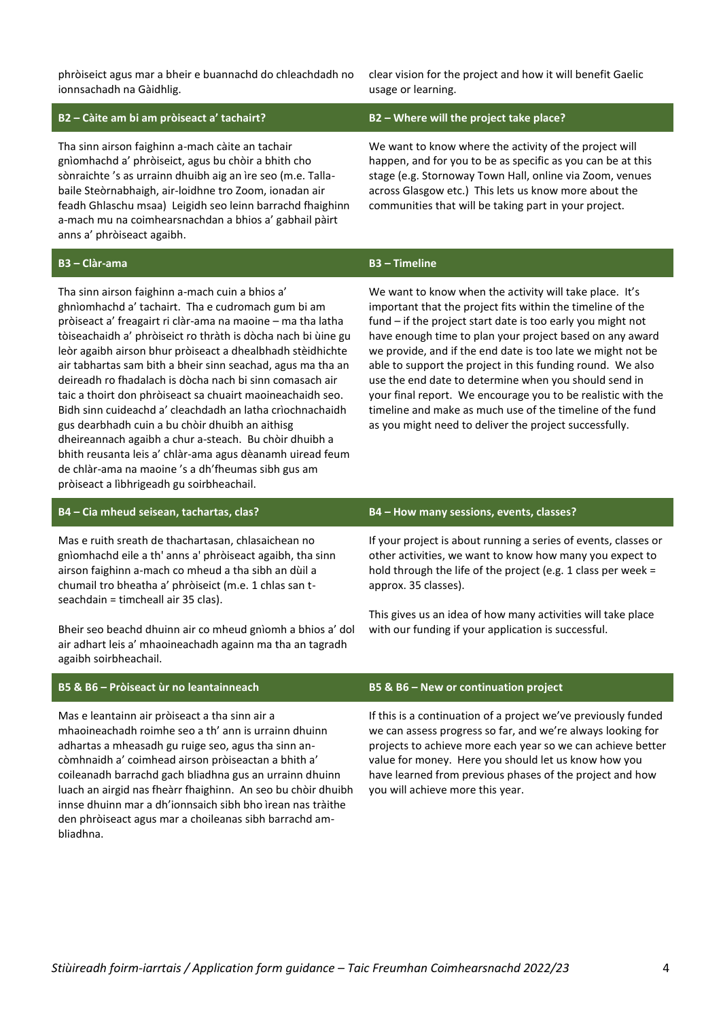phròiseict agus mar a bheir e buannachd do chleachdadh no ionnsachadh na Gàidhlig.

clear vision for the project and how it will benefit Gaelic usage or learning.

### **B2 – Càite am bi am pròiseact a' tachairt? B2 – Where will the project take place?**

Tha sinn airson faighinn a-mach càite an tachair gnìomhachd a' phròiseict, agus bu chòir a bhith cho sònraichte 's as urrainn dhuibh aig an ìre seo (m.e. Tallabaile Steòrnabhaigh, air-loidhne tro Zoom, ionadan air feadh Ghlaschu msaa) Leigidh seo leinn barrachd fhaighinn a-mach mu na coimhearsnachdan a bhios a' gabhail pàirt anns a' phròiseact agaibh.

## **B3 – Clàr-ama B3 – Timeline**

Tha sinn airson faighinn a-mach cuin a bhios a' ghnìomhachd a' tachairt. Tha e cudromach gum bi am pròiseact a' freagairt ri clàr-ama na maoine – ma tha latha tòiseachaidh a' phròiseict ro thràth is dòcha nach bi ùine gu leòr agaibh airson bhur pròiseact a dhealbhadh stèidhichte air tabhartas sam bith a bheir sinn seachad, agus ma tha an deireadh ro fhadalach is dòcha nach bi sinn comasach air taic a thoirt don phròiseact sa chuairt maoineachaidh seo. Bidh sinn cuideachd a' cleachdadh an latha crìochnachaidh gus dearbhadh cuin a bu chòir dhuibh an aithisg dheireannach agaibh a chur a-steach. Bu chòir dhuibh a bhith reusanta leis a' chlàr-ama agus dèanamh uiread feum de chlàr-ama na maoine 's a dh'fheumas sibh gus am pròiseact a lìbhrigeadh gu soirbheachail.

We want to know where the activity of the project will happen, and for you to be as specific as you can be at this stage (e.g. Stornoway Town Hall, online via Zoom, venues across Glasgow etc.) This lets us know more about the communities that will be taking part in your project.

We want to know when the activity will take place. It's important that the project fits within the timeline of the fund – if the project start date is too early you might not have enough time to plan your project based on any award we provide, and if the end date is too late we might not be able to support the project in this funding round. We also use the end date to determine when you should send in your final report. We encourage you to be realistic with the timeline and make as much use of the timeline of the fund as you might need to deliver the project successfully.

### **B4 – Cia mheud seisean, tachartas, clas? B4 – How many sessions, events, classes?**

Mas e ruith sreath de thachartasan, chlasaichean no gnìomhachd eile a th' anns a' phròiseact agaibh, tha sinn airson faighinn a-mach co mheud a tha sibh an dùil a chumail tro bheatha a' phròiseict (m.e. 1 chlas san tseachdain = timcheall air 35 clas).

Bheir seo beachd dhuinn air co mheud gnìomh a bhios a' dol air adhart leis a' mhaoineachadh againn ma tha an tagradh agaibh soirbheachail.

Mas e leantainn air pròiseact a tha sinn air a mhaoineachadh roimhe seo a th' ann is urrainn dhuinn adhartas a mheasadh gu ruige seo, agus tha sinn ancòmhnaidh a' coimhead airson pròiseactan a bhith a' coileanadh barrachd gach bliadhna gus an urrainn dhuinn luach an airgid nas fheàrr fhaighinn. An seo bu chòir dhuibh innse dhuinn mar a dh'ionnsaich sibh bho ìrean nas tràithe den phròiseact agus mar a choileanas sibh barrachd ambliadhna.

If your project is about running a series of events, classes or other activities, we want to know how many you expect to hold through the life of the project (e.g. 1 class per week = approx. 35 classes).

This gives us an idea of how many activities will take place with our funding if your application is successful.

### **B5 & B6 – Pròiseact ùr no leantainneach B5 & B6 – New or continuation project**

If this is a continuation of a project we've previously funded we can assess progress so far, and we're always looking for projects to achieve more each year so we can achieve better value for money. Here you should let us know how you have learned from previous phases of the project and how you will achieve more this year.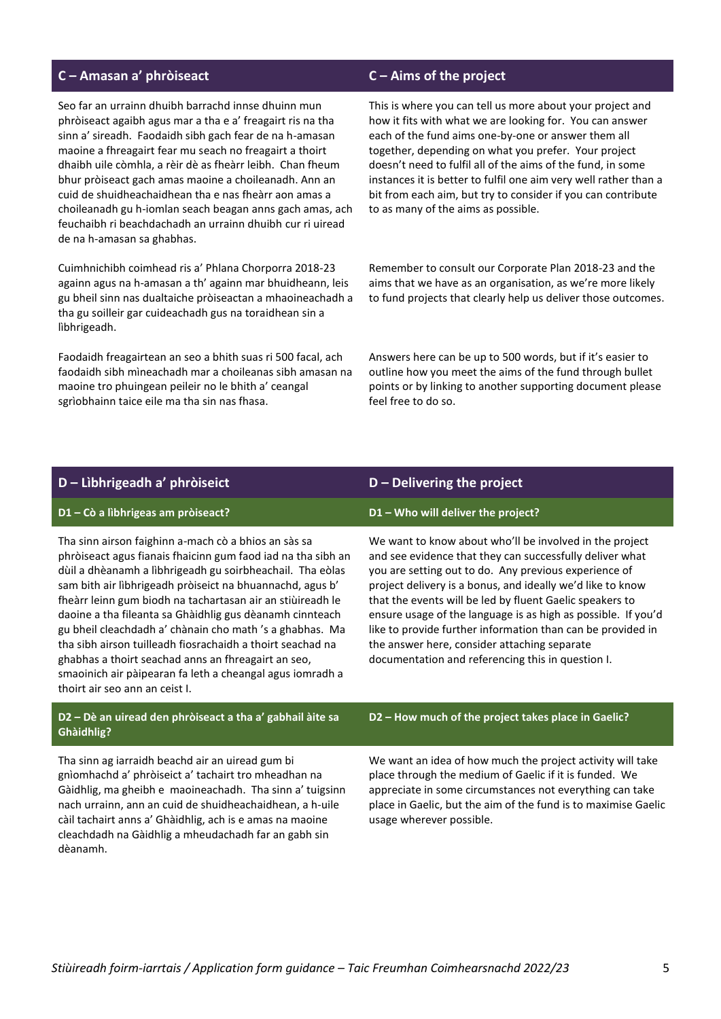## **C – Amasan a' phròiseact C – Aims of the project**

Seo far an urrainn dhuibh barrachd innse dhuinn mun phròiseact agaibh agus mar a tha e a' freagairt ris na tha sinn a' sireadh. Faodaidh sibh gach fear de na h-amasan maoine a fhreagairt fear mu seach no freagairt a thoirt dhaibh uile còmhla, a rèir dè as fheàrr leibh. Chan fheum bhur pròiseact gach amas maoine a choileanadh. Ann an cuid de shuidheachaidhean tha e nas fheàrr aon amas a choileanadh gu h-iomlan seach beagan anns gach amas, ach feuchaibh ri beachdachadh an urrainn dhuibh cur ri uiread de na h-amasan sa ghabhas.

Cuimhnichibh coimhead ris a' Phlana Chorporra 2018-23 againn agus na h-amasan a th' againn mar bhuidheann, leis gu bheil sinn nas dualtaiche pròiseactan a mhaoineachadh a tha gu soilleir gar cuideachadh gus na toraidhean sin a lìbhrigeadh.

Faodaidh freagairtean an seo a bhith suas ri 500 facal, ach faodaidh sibh mìneachadh mar a choileanas sibh amasan na maoine tro phuingean peileir no le bhith a' ceangal sgrìobhainn taice eile ma tha sin nas fhasa.

This is where you can tell us more about your project and how it fits with what we are looking for. You can answer each of the fund aims one-by-one or answer them all together, depending on what you prefer. Your project doesn't need to fulfil all of the aims of the fund, in some instances it is better to fulfil one aim very well rather than a bit from each aim, but try to consider if you can contribute to as many of the aims as possible.

Remember to consult our Corporate Plan 2018-23 and the aims that we have as an organisation, as we're more likely to fund projects that clearly help us deliver those outcomes.

Answers here can be up to 500 words, but if it's easier to outline how you meet the aims of the fund through bullet points or by linking to another supporting document please feel free to do so.

## **D – Lìbhrigeadh a' phròiseict D – Delivering the project**

### **D1 – Cò a lìbhrigeas am pròiseact? D1 – Who will deliver the project?**

Tha sinn airson faighinn a-mach cò a bhios an sàs sa phròiseact agus fianais fhaicinn gum faod iad na tha sibh an dùil a dhèanamh a lìbhrigeadh gu soirbheachail. Tha eòlas sam bith air lìbhrigeadh pròiseict na bhuannachd, agus b' fheàrr leinn gum biodh na tachartasan air an stiùireadh le daoine a tha fileanta sa Ghàidhlig gus dèanamh cinnteach gu bheil cleachdadh a' chànain cho math 's a ghabhas. Ma tha sibh airson tuilleadh fiosrachaidh a thoirt seachad na ghabhas a thoirt seachad anns an fhreagairt an seo, smaoinich air pàipearan fa leth a cheangal agus iomradh a thoirt air seo ann an ceist I.

## **D2 – Dè an uiread den phròiseact a tha a' gabhail àite sa Ghàidhlig?**

Tha sinn ag iarraidh beachd air an uiread gum bi gnìomhachd a' phròiseict a' tachairt tro mheadhan na Gàidhlig, ma gheibh e maoineachadh. Tha sinn a' tuigsinn nach urrainn, ann an cuid de shuidheachaidhean, a h-uile càil tachairt anns a' Ghàidhlig, ach is e amas na maoine cleachdadh na Gàidhlig a mheudachadh far an gabh sin dèanamh.

We want to know about who'll be involved in the project and see evidence that they can successfully deliver what you are setting out to do. Any previous experience of project delivery is a bonus, and ideally we'd like to know that the events will be led by fluent Gaelic speakers to ensure usage of the language is as high as possible. If you'd like to provide further information than can be provided in the answer here, consider attaching separate documentation and referencing this in question I.

### **D2 – How much of the project takes place in Gaelic?**

We want an idea of how much the project activity will take place through the medium of Gaelic if it is funded. We appreciate in some circumstances not everything can take place in Gaelic, but the aim of the fund is to maximise Gaelic usage wherever possible.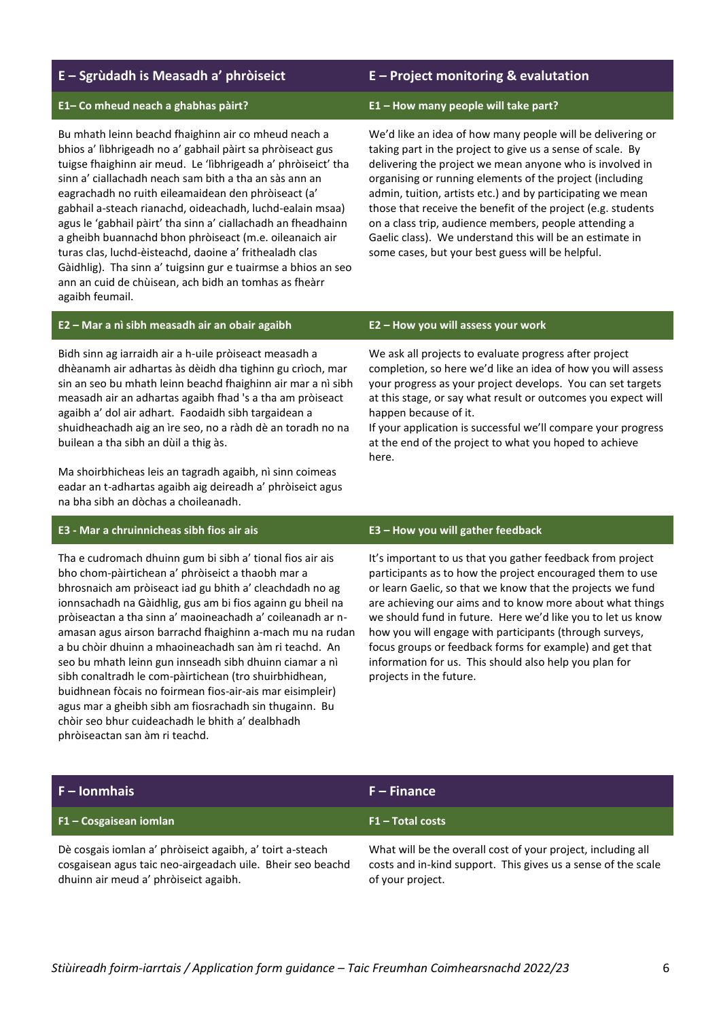## **E – Sgrùdadh is Measadh a' phròiseict E – Project monitoring & evalutation**

### **E1– Co mheud neach a ghabhas pàirt? E1 – How many people will take part?**

Bu mhath leinn beachd fhaighinn air co mheud neach a bhios a' lìbhrigeadh no a' gabhail pàirt sa phròiseact gus tuigse fhaighinn air meud. Le 'lìbhrigeadh a' phròiseict' tha sinn a' ciallachadh neach sam bith a tha an sàs ann an eagrachadh no ruith eileamaidean den phròiseact (a' gabhail a-steach rianachd, oideachadh, luchd-ealain msaa) agus le 'gabhail pàirt' tha sinn a' ciallachadh an fheadhainn a gheibh buannachd bhon phròiseact (m.e. oileanaich air turas clas, luchd-èisteachd, daoine a' frithealadh clas Gàidhlig). Tha sinn a' tuigsinn gur e tuairmse a bhios an seo ann an cuid de chùisean, ach bidh an tomhas as fheàrr agaibh feumail.

We'd like an idea of how many people will be delivering or taking part in the project to give us a sense of scale. By delivering the project we mean anyone who is involved in organising or running elements of the project (including admin, tuition, artists etc.) and by participating we mean those that receive the benefit of the project (e.g. students on a class trip, audience members, people attending a Gaelic class). We understand this will be an estimate in some cases, but your best guess will be helpful.

### **E2 – Mar a nì sibh measadh air an obair agaibh E2 – How you will assess your work**

Bidh sinn ag iarraidh air a h-uile pròiseact measadh a dhèanamh air adhartas às dèidh dha tighinn gu crìoch, mar sin an seo bu mhath leinn beachd fhaighinn air mar a nì sibh measadh air an adhartas agaibh fhad 's a tha am pròiseact agaibh a' dol air adhart. Faodaidh sibh targaidean a shuidheachadh aig an ìre seo, no a ràdh dè an toradh no na builean a tha sibh an dùil a thig às.

Ma shoirbhicheas leis an tagradh agaibh, nì sinn coimeas eadar an t-adhartas agaibh aig deireadh a' phròiseict agus na bha sibh an dòchas a choileanadh.

## **E3 - Mar a chruinnicheas sibh fios air ais E3 – How you will gather feedback**

Tha e cudromach dhuinn gum bi sibh a' tional fios air ais bho chom-pàirtichean a' phròiseict a thaobh mar a bhrosnaich am pròiseact iad gu bhith a' cleachdadh no ag ionnsachadh na Gàidhlig, gus am bi fios againn gu bheil na pròiseactan a tha sinn a' maoineachadh a' coileanadh ar namasan agus airson barrachd fhaighinn a-mach mu na rudan a bu chòir dhuinn a mhaoineachadh san àm ri teachd. An seo bu mhath leinn gun innseadh sibh dhuinn ciamar a nì sibh conaltradh le com-pàirtichean (tro shuirbhidhean, buidhnean fòcais no foirmean fios-air-ais mar eisimpleir) agus mar a gheibh sibh am fiosrachadh sin thugainn. Bu chòir seo bhur cuideachadh le bhith a' dealbhadh phròiseactan san àm ri teachd.

We ask all projects to evaluate progress after project completion, so here we'd like an idea of how you will assess your progress as your project develops. You can set targets at this stage, or say what result or outcomes you expect will happen because of it.

If your application is successful we'll compare your progress at the end of the project to what you hoped to achieve here.

It's important to us that you gather feedback from project participants as to how the project encouraged them to use or learn Gaelic, so that we know that the projects we fund are achieving our aims and to know more about what things we should fund in future. Here we'd like you to let us know how you will engage with participants (through surveys, focus groups or feedback forms for example) and get that information for us. This should also help you plan for projects in the future.

| $F - I$ onmhais                                                                                                                                                  | $F - Finance$                                                                                                                                     |
|------------------------------------------------------------------------------------------------------------------------------------------------------------------|---------------------------------------------------------------------------------------------------------------------------------------------------|
| F1 – Cosgaisean iomlan                                                                                                                                           | F1 - Total costs                                                                                                                                  |
| Dè cosgais iomlan a' phròiseict agaibh, a' toirt a-steach<br>cosgaisean agus taic neo-airgeadach uile. Bheir seo beachd<br>dhuinn air meud a' phròiseict agaibh. | What will be the overall cost of your project, including all<br>costs and in-kind support. This gives us a sense of the scale<br>of your project. |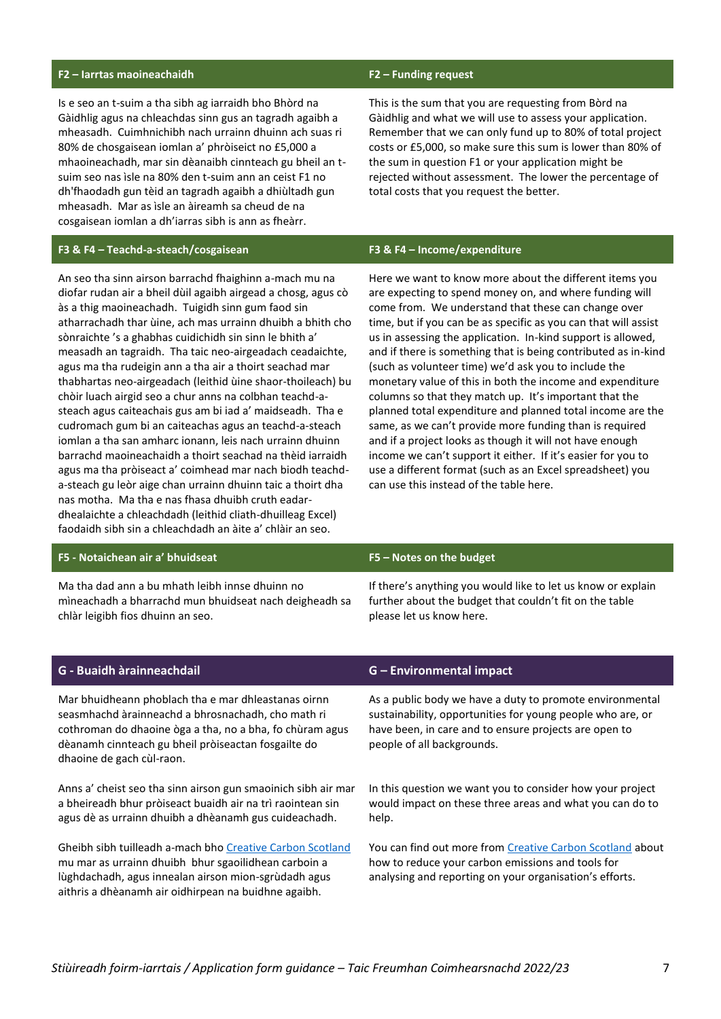## **F2 – Iarrtas maoineachaidh F2 – Funding request**

Is e seo an t-suim a tha sibh ag iarraidh bho Bhòrd na Gàidhlig agus na chleachdas sinn gus an tagradh agaibh a mheasadh. Cuimhnichibh nach urrainn dhuinn ach suas ri 80% de chosgaisean iomlan a' phròiseict no £5,000 a mhaoineachadh, mar sin dèanaibh cinnteach gu bheil an tsuim seo nas ìsle na 80% den t-suim ann an ceist F1 no dh'fhaodadh gun tèid an tagradh agaibh a dhiùltadh gun mheasadh. Mar as ìsle an àireamh sa cheud de na cosgaisean iomlan a dh'iarras sibh is ann as fheàrr.

## **F3 & F4 – Teachd-a-steach/cosgaisean F3 & F4 – Income/expenditure**

An seo tha sinn airson barrachd fhaighinn a-mach mu na diofar rudan air a bheil dùil agaibh airgead a chosg, agus cò às a thig maoineachadh. Tuigidh sinn gum faod sin atharrachadh thar ùine, ach mas urrainn dhuibh a bhith cho sònraichte 's a ghabhas cuidichidh sin sinn le bhith a' measadh an tagraidh. Tha taic neo-airgeadach ceadaichte, agus ma tha rudeigin ann a tha air a thoirt seachad mar thabhartas neo-airgeadach (leithid ùine shaor-thoileach) bu chòir luach airgid seo a chur anns na colbhan teachd-asteach agus caiteachais gus am bi iad a' maidseadh. Tha e cudromach gum bi an caiteachas agus an teachd-a-steach iomlan a tha san amharc ionann, leis nach urrainn dhuinn barrachd maoineachaidh a thoirt seachad na thèid iarraidh agus ma tha pròiseact a' coimhead mar nach biodh teachda-steach gu leòr aige chan urrainn dhuinn taic a thoirt dha nas motha. Ma tha e nas fhasa dhuibh cruth eadardhealaichte a chleachdadh (leithid cliath-dhuilleag Excel) faodaidh sibh sin a chleachdadh an àite a' chlàir an seo.

### **F5 - Notaichean air a' bhuidseat F5 – Notes on the budget**

Ma tha dad ann a bu mhath leibh innse dhuinn no mìneachadh a bharrachd mun bhuidseat nach deigheadh sa chlàr leigibh fios dhuinn an seo.

This is the sum that you are requesting from Bòrd na Gàidhlig and what we will use to assess your application. Remember that we can only fund up to 80% of total project costs or £5,000, so make sure this sum is lower than 80% of the sum in question F1 or your application might be rejected without assessment. The lower the percentage of total costs that you request the better.

Here we want to know more about the different items you are expecting to spend money on, and where funding will come from. We understand that these can change over time, but if you can be as specific as you can that will assist us in assessing the application. In-kind support is allowed, and if there is something that is being contributed as in-kind (such as volunteer time) we'd ask you to include the monetary value of this in both the income and expenditure columns so that they match up. It's important that the planned total expenditure and planned total income are the same, as we can't provide more funding than is required and if a project looks as though it will not have enough income we can't support it either. If it's easier for you to use a different format (such as an Excel spreadsheet) you can use this instead of the table here.

If there's anything you would like to let us know or explain further about the budget that couldn't fit on the table please let us know here.

Mar bhuidheann phoblach tha e mar dhleastanas oirnn seasmhachd àrainneachd a bhrosnachadh, cho math ri cothroman do dhaoine òga a tha, no a bha, fo chùram agus dèanamh cinnteach gu bheil pròiseactan fosgailte do dhaoine de gach cùl-raon.

Anns a' cheist seo tha sinn airson gun smaoinich sibh air mar a bheireadh bhur pròiseact buaidh air na trì raointean sin agus dè as urrainn dhuibh a dhèanamh gus cuideachadh.

Gheibh sibh tuilleadh a-mach bho [Creative Carbon Scotland](https://www.creativecarbonscotland.com/carbon-management/) mu mar as urrainn dhuibh bhur sgaoilidhean carboin a lùghdachadh, agus innealan airson mion-sgrùdadh agus aithris a dhèanamh air oidhirpean na buidhne agaibh.

## **G - Buaidh àrainneachdail G – Environmental impact**

As a public body we have a duty to promote environmental sustainability, opportunities for young people who are, or have been, in care and to ensure projects are open to people of all backgrounds.

In this question we want you to consider how your project would impact on these three areas and what you can do to help.

You can find out more from [Creative Carbon Scotland](https://www.creativecarbonscotland.com/carbon-management/) about how to reduce your carbon emissions and tools for analysing and reporting on your organisation's efforts.